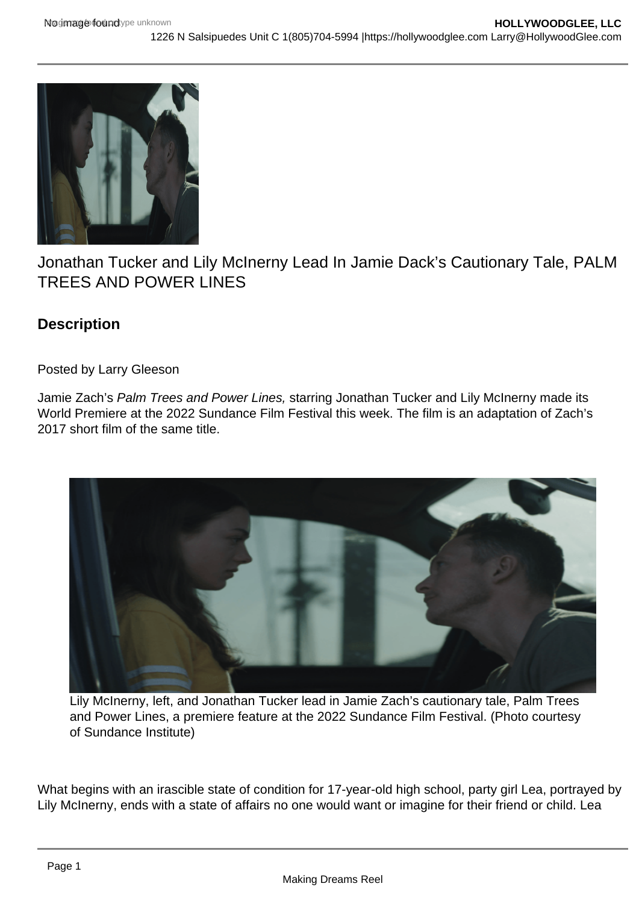## Jonathan Tucker and Lily McInerny Lead In Jamie Dack's Cautionary Tale, PALM TREES AND POWER LINES

**Description** 

Posted by Larry Gleeson

Jamie Zach's Palm Trees and Power Lines, starring Jonathan Tucker and Lily McInerny made its World Premiere at the 2022 Sundance Film Festival this week. The film is an adaptation of Zach's 2017 short film of the same title.

Lily McInerny, left, and Jonathan Tucker lead in Jamie Zach's cautionary tale, Palm Trees and Power Lines, a premiere feature at the 2022 Sundance Film Festival. (Photo courtesy of Sundance Institute)

What begins with an irascible state of condition for 17-year-old high school, party girl Lea, portrayed by Lily McInerny, ends with a state of affairs no one would want or imagine for their friend or child. Lea